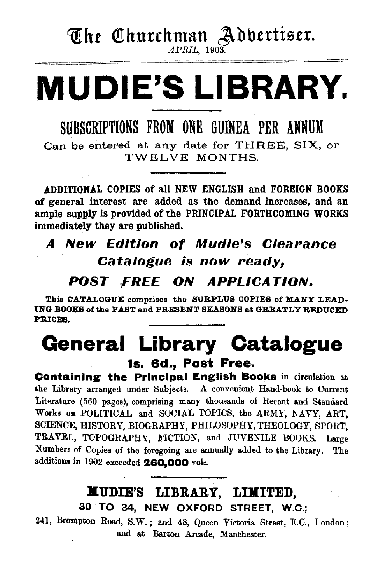# The Churchman Advertiser.

*APRIL,* 1903 .

# **. MUDIE'S LIBRARY.**

SUBSCRIPTIONS FROM ONE GUINEA PER ANNUM

Can be entered at any date for THREE, SIX, or TWELVE MONTHS.

ADDITIONAL COPIES of all NEW ENGLISH and FOREIGN BOOKS of general interest are added as the demand increases, and an ample supply is provided of the PRINCIPAL FORTHCOMING WORKS immediately they are published.

# A New Edition of Mudie's Clearance Catalogue is now ready,

## *POST* <sup>1</sup> FREE *ON APPLICATION.*

This CATALOGUE comprises the SURPLUS COPIES of MANY LEAD-ING BOOXS of the PAST and PRESENT SEASONS at GREATLY REDUCED PRICES.

# **General Library Catalogue**  1s. 6d., Post Free.

Containing the Principal English Books in circulation at the Library arranged under Subjects. A convenient Hand-book to Current Literature (560 pages}, comprising many thousands of Recent and Standard Works on POLITICAL and SOCIAL TOPICS, the ARMY, NAVY, ART, SCIENCE, HISTORY, BIOGRAPHY, PHILOSOPHY, THEOLOGY, SPORT, TRAVEL, TOPOGRAPHY, FICTION, and JUVENILE BOOKS. Large Numbers of Copies of the foregoing are annually added to \he Library. The additions in 1902 exceeded 260,000 vols.

## MUDIE'S LIBRARY, LIMITED, 30 TO 84, NEW OXFORD STREET, W.O.;

241, Brompton Road, S.W.; and 48, Queen Victoria Street, E.C., London; and at Barton Arcade, Manchester.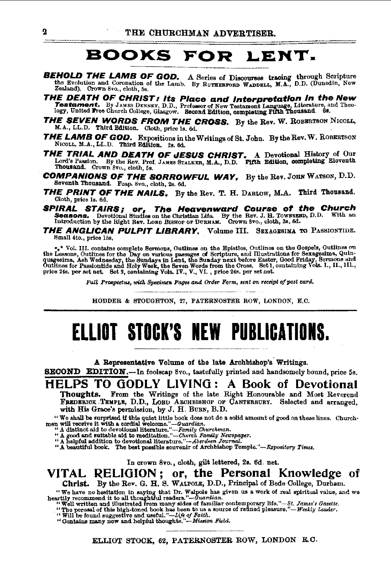#### **BOOKS FOR** LENT.

- **BEHOLD THE LAMB OF GOD.** A Series of Discourses tracing through Scripture the Evolution and Coronation of the Lamb. By RUTHERFORD WADDELL, M.A., D.D. (Dunedin, New Zealand). Crown 8vo., cloth, 5s.
- **THE DEATH OF CHRIST: Its Place and Interpretation in the New Testament.** By JAMES DENNEY, D.D., Professor of New Testament Language, Literature, and Theology, United Free Church College, Glasgow. Second Edition, completi
- **THE SEVEN WORDS FROM THE CROSS.** By the Rev. W. ROBERTSON NIGOLL, M.A., LL.D. Third Edition. Cloth, price is. 6d.
- **THE LAMB OF GOD.** Expositions in the Writings of St. John. By the Rev. W. ROBERTSON NICOLL, M.A., LL.D. Third Edition. 2s. 6d.
- **THE TRIAL AND DEATH OF JESUS CHRIST.** A Devotional History of Our Lord's Passion. By the Rev, Prof. JAMES STALKER, M.A., D.D. FIRE Edition, completing Eleventh Thousand. Crown 8vo., cloth, 5s.
- **COMPANIONS OF THE SORROWFUL WAY, By the Rev. JOHN WATSON, D.D.** Seventh Thousand. Fcap. 8vo., cloth, 2s. 6d.
- **THE PRINT OF THE NAILS.** By the Rev. T. H. DARLOW, M.A. Third Thousand. Cloth, price ls. 6d.
- **FIRAL STAIRS; or, The Heavenward Course of the Church**<br>**Seasons.** Devotional Studies on the Christian Life. By the Rev. J. H. TowssExto, D.D. With an Introduction by the Right Rev. LORD BISHOP of DURHAM. Crown 8vo., clot **SPIRAL STAIRS;**
- THE ANGLICAN PULPIT LIBRARY, Volume III. SEXAGESIMA TO PASSIONTIDE. Small 4to., price 15s.

 $\bullet_{\bullet}$ \* Vol. III. contains complete Sermons, Outlines on the Epistles, Outlines on the Gospels, Outlines on the Lessons, Outlines for the Day on various passages of Scripture, and Illustrations for Sexagesima, Quinquege

Full Prospectus, with Specimen Pages and Order Form, sent on receipt of post card.

HODDER & STOUGHTON, 27, PATERNOSTER ROW, LONDON, E.C.

# ELLIOT STOCK'S NEW PUBLICATIONS.

A Representative Volume of the late Archbishop's Writings.

SECOND EDITION.-In foolscap 8vo., tastefully printed and handsomely bound, price 5s.

### HELPS TO GODLY LIVING: A Book of Devotional

From the Writings of the late Right Honourable and Most Reverend Thoughts. FREDERICK TEMPLE, D.D., LOBD ARCHBISHOP OF CANTERBURY. Selected and arranged, with His Grace's permission, by J. H. BURN, B.D.

We shall be surprised if this quiet little book does not do a solid amount of good on these lines. Churchmen will receive it with a cordial welcome."—Guardian.<br>"A distinct aid to describe the same of the state of the stat

" A beautiful book. The best possible souvenir of Archbishop Temple."-Expository Times.

In crown 8vo., cloth, gilt lettered, 2s. 6d. net.

VITAL RELIGION; or, the Personal Knowledge of Christ. By the Rev. G. H. S. WALPOLE, D.D., Principal of Bede College, Durham.

We have no hesitation in saying that Dr. Walpole has given us a work of real spiritual value, and we<br>heartily recommend it to all thoughtful readers."—Guardian.<br>"Well written and illustrated from many sides of familiar co

- 
- -

ELLIOT STOCK, 62, PATERNOSTER ROW, LONDON E.C.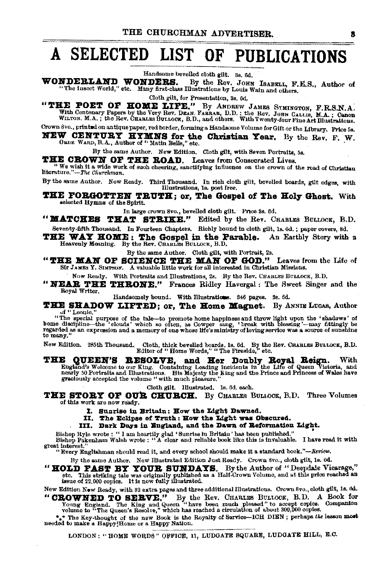# A SELECTED LIST OF PUBLICATIONS

Handsome bevelled cloth gilt. 3s. 6d.

WONDERLAND WONDERS. By the Rev. JOHN ISABELL, F.E.S., Author of The Insect World," etc. Many first-class Illustrations by Louis Wain and others.

Cloth gilt, for Presentation, 3s, 6d.

"THE POET OF HOME LIFE." By ANDREW JAMES SYMINGTON, F.R.S.N.A. A A Centenary Papers by the Very Rev. DEAN, Fannant B.D. I the Rev. Journal over the Mathemany Papers by the Very Rev. DEAN, Fannan, D.D. I the Rev. John Function.<br>WILTON. M.A.; the Rev. CHARLES BULLOCK, B.D., and others.

Crown 8vo., printed on antique paper, red border, forming a Handsome Volume for Gift or the Library, Price 5s. NEW CENTURY HYMNS for the Christian Year. By the Rev. F. W. ORDE WARD, B.A., Author of "Matin Bells," etc.

By the same Author. New Edition. Cloth gilt, with Seven Portraits, 5s.

THE CROWN OF THE ROAD. Leaves from Consecrated Lives.

We wish it a wide work of such cheering, sanctifying influence on the crown of the road of Christian literature."--The Churchman.

By the same Author. Now Ready. Third Thousand. In rich cloth gilt, bevelled boards, gilt edges, with Illustrations, le. post free.

THE FORGOTTEN TRUTH: or. The Gospel of The Holy Ghost. With selected Hymns of the Spirit.

In large crown 8vo., bevelled cloth gilt. Price 3s. 6d.

"MATCHES THAT STRIKE." Edited by the Rev. CHARLES BULLOCK, B.D. Seventy-fifth Thousand. In Fourteen Chapters. Richly bound in cloth gilt, ls. 6d. ; paper covers, 8d.

THE WAY HOME: The Gospel in the Parable. An Earthly Story with a Heavenly Meaning. By the Rev. CHARLES BULLOCK, B.D.

By the same Author. Cloth gilt, with Portrait, 2s.

"THE MAN OF SCIENCE THE MAN OF GOD." Leaves from the Life of Str JAMES Y. SIMPSON. A valuable little work for all interested in Christian Missions.

Now Ready. With Portraits and Illustrations, 2s. By the Rev. CHARLES BULLOCK, B.D.

"NEAR THE THRONE." Frances Ridley Havergal: The Sweet Singer and the Royal Writer,

Handsomely bound. With Illustrations. 346 pages. 3s. 6d.

THE SHADOW LIFTED; or, The Home Magnet. By ANNIE LUGAS, Author of "Leonie.

"The special purpose of the tale-to promote home happiness and throw light upon the 'shadows' of<br>home discipline-the 'clouds' which so often, as Cowper sang, 'break with blessing'--may fittingly be<br>regarded as an expressio to many.

New Edition. 285th Thousand. Cloth, thick bevelled boards, 1s. 6d. By the Rev. CHARLES BULLOCK, B.D. Editor of "Home Words," "The Fireside," etc.

**E QUEEN'S RESOLVE, and Her Doubly Royal Reign.** With England's Welcome to our King. Containing Leading incidents in the Life of Queen Victoria, and nearly 50 Portraits and the exist of the Majesty the King and the Prince THE

Cloth gilt. Illustrated. 1s. 6d. each.

THE STORY OF OUR CHURCH. By CHARLES BULLOCK, B.D. Three Volumes of this work are now ready.

- I. Sunrise in Britain: How the Light Dawned.
- II. The Eclipse of Truth: How the Light was Obscured.
- III. Dark Days in England, and the Dawn of Reformation Light.

Bishop Hyle wrote : " I am heartily glad 'Sunrise in Britain ' has been published."<br>Bishop Pakenham Walsh wrote : " A clear and reliable book like this is invaluable. I have read it with great interest."

"Every Englishman should read it, and every school should make it a standard book."-Review.

By the same Author. New Illustrated Edition Just Ready. Crown 8vo., cloth gilt, 1s. 6d.

"HOLD FAST BY YOUR SUNDAYS. By the Author of "Deepdale Vicarage," etc. This striking tale was originally published as a Half-Crown Volume, and at this price reached an issue of 22,000 copies. It is now fully illustrated.

New Edition New Roady, with 32 extra pages and three additional Illustrations. Crown 8vo., cloth gllt, 1s. 6d. "CROWNED TO SERVE." By the Rev. CHARLES BULLOCK, B.D. A Book for Young England. The King and Queen "thave been much pleased" to accept copies. Companion volume to "The Queen's Resolve," which has reached a circulation of a

\*\* The Key-thought of the new Book is the Royalty of Service-ICH DIEN; perhaps the lesson most needed to make a Happy Home or a Happy Nation.

LONDON: "HOME WORDS" OFFICE, 11, LUDGATE SQUARE, LUDGATE HILL, E.C.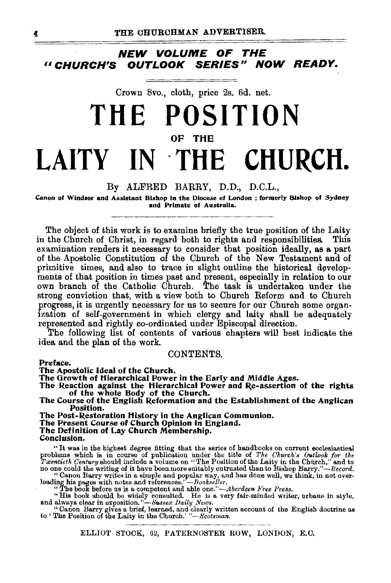**NEW VOLUME OF THE** <sup>11</sup>**CHURCH'S OUTLOOK SERIES" NOW READY.** 

Crown 8vo., cloth, price 2s. 6d. net.

# **THE POSITION OF THE LAITY IN ·THE CHURCH.**

### By ALFRED BARRY, D.D., D.C.L.,

Canon of Windsor and Assistant Bishop in the Diocese of London ; formerly Bishop of Sydney and Primate of Australia.

The object of this work is to examine briefly the true position of the Laity in the Church of Christ, in regard both to rights and responsibilities. This examination renders it necessary to consider that position ideally, as a part of the Apostolic Constitution of the Church of the New Testament and of primitive times, and also to trace in slight outline the historical developments of that position in times past and present, especially in relation to our own branch of the Catholic Church. The task is undertaken under the strong conviction that, with a view both to Church Reform and to Church progress, it is urgently necessary for us to secure for our Church some organization of self-government in which clergy and laity shall be adequately represented and rightly co-ordinated under Episcopal direction.

The following list of contents of various chapters will best indicate the idea and the plan of the work.

### CONTENTS.

Preface.

The Apostolic Ideal of the Church.<br>The Growth of Hierarchical Power in the Early and Middle Ages.

The Reaction against the Hierarchical Power and Re-assertion of the rights of the whole Body of the Church.

The Course of the English Reformation and the Establishment of the Anglican Position.

The Post-Restoration History in the Anglican Communion.

The Present Course of Church Opinion in England.<br>The Definition of Lay Church Membership.<br>Conclusion.

" It was in the highest degree fitting that the series of handbooks on current ecclesiasticaJ problems which is in course of publication under the title of *The Church's Outlook for the Twentieth Century* should include a volume on "The Position of the Laity in the Church," and to no one could the writing of it hav

"Canon Barry writes in a simple and popular way, and has done well, we think, in not over-<br>loading his pages with notes and references."—Bookseller.<br>"The book before us is a competent and able one."—Aberdeen Free Press.<br>"

"Canon Barry gives a brief, learned, and clearly written account of the English doctrine as to 'The Position of the Laity in the Church.' "-Scotsman.

ELLIOT STOCK, 62, PATERNOSTER ROW, LONDON, E.O.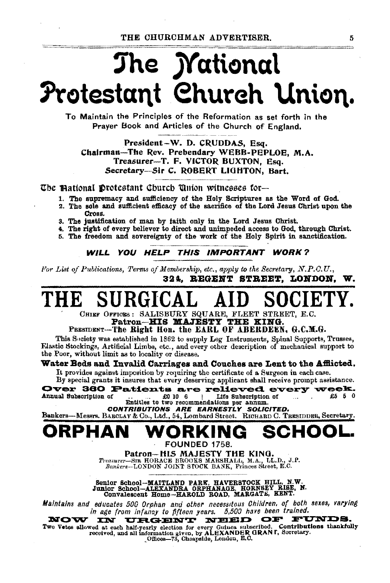THE CHURCHMAN ADVERTISER.

# The *M*ational Protestant Church Union.

To Maintain the Principles of the Reformation as set forth in the Prayer Book and Articles of the Church of England.

President-W. D. CRUDDAS, Esq. Chairman-The Rev. Prebendary WEBB-PEPLOE, M.A. Treasurer-T. F. VICTOR BUXTON, Esq. Secretary-Sir C. ROBERT LIGHTON, Bart.

The Mational Drotestant Church Union witnesses for-

- 1. The supremacy and sufficiency of the Holy Scriptures as the Word of God.
- 2. The sole and sufficient efficacy of the sacrifice of the Lord Jesus Christ upon the Tross.
- 3. The justification of man by faith only in the Lord Jesus Christ.
- 4. The right of every believer to direct and unimpeded access to God, through Christ.
- 5. The freedom and sovereignty of the work of the Holy Spirit in sanctification.

WILL YOU HELP THIS IMPORTANT WORK?

For List of Publications, Terms of Membership, etc., apply to the Secretary, N.P.C.U., 324. REGENT STREET. LONDON. W.

CHIEF OFFICES: SALISBURY SQUARE, FLEET STREET, E.C.

Patron-HIS MAJESTY THE KING.<br>PRESIDENT-The Right Hon. the EARL OF ABERDEEN, G.C.M.G.

This Society was established in 1862 to supply Leg Instruments, Spinal Supports, Trusses, Flastic Stockings, Artificial Limbs, etc., and every other description of mechanical support to the Poor, without limit as to locality or disease.

### Water Beds and Invalid Carriages and Couches are Lent to the Afflicted.

It provides against imposition by requiring the certificate of a Surgeon in each case.

By special grants it insures that every deserving applicant shall receive prompt assistance.

Over 360 Patients are relieved every week. Annual Subscription of £0 10 6 Life Subscription of £5 5 0  $\mathbf{I}$ Entitles to two recommendations per annum.

CONTRIBUTIONS ARE EARNESTLY SOLICITED.

Bankers-Messrs, BARCLAY&Co., Ltd., 54, Lombard Street. RICHARD C. TRESIDDER, Secretary.

# РНАІ

**FOUNDED 1758.** 

Patron-HIS MAJESTY THE KING. Treasurer-BIR HORACE BROOKS MARSHALL, M.A., LL.D., J.P.<br>Bankers-LONDON JOINT STOCK BANK, Princes Street, E.C.

Senior School-MAITLAND PARK, HAVERSTOCK HILL, N.W.<br>Junior School-ALEXANDRA ORPHANAGE, HORNSEY RISE, N.<br>Convalescent Home-HAROLD ROAD, MARGATE, KENT.

Maintains and educates 500 Orphan and other necessitous Children, of both sexes, varying in age from infancy to fifteen years. 5,500 have been trained.

NOW **URGENT NEED** OF FUNDS. **IN** 

Two Vetes allowed at each half-yearly election for every Guinea subscribed. Contributions thankfully<br>received, and all information given, by ALEXANDER GRANT, Secretary.<br>
Offices-73, Cheapside, London, E.C.

5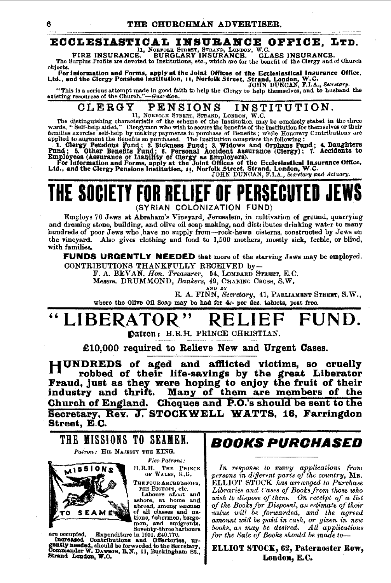#### ECCLESIASTICAL INSURANCE OFFICE. LTD.

FIRE INSURANCE. BURGLARY INSURANCE. GL. GLASS INSURANCE.

The Surplus Profits are devoted to Institutions, etc., which are for the benefit of the Clergy and of Church objects.

oojects.<br>For information and Forms, apply at the Joint Offices of the Ecclesiastical Insurance Office,<br>Ltd., and the Clergy Pensions Institution, 11, Norfolk Street, Strand, London, W.C.<br>IOHN DUNCAN, F.I.A., Secretary,

"This is a serious attempt made in good faith to help the Clergy to help themselves, and to husband the existing resources of the Church."-Guardian.

#### INSTITUTION. CLERGY **PENSIONS**

The distinguishing characteristic of the scheme of the Institution may be concisely stated in the three<br>words, "Self-help aided." Clergymen who wish to secure the benefits of the Institution for themselves or their<br>words,

words, "Self-help aided." Clergymon who wish to secure the benefits of the Institution for themserves or mear families are recise self-help by making payments in purchase of Benefits; while Honorary Contributions are<br>appli

## The society for relief (SYRIAN COLONIZATION FUND)

Employs 70 Jews at Abraham's Vineyard, Jerusalem, in cultivation of ground, quarrying and dressing stone, building, and olive oil soap making, and distributes drinking water to many hundreds of poor Jews who have no supply from--rock-hewn cisterns, constructed by Jews on the vineyard. Also gives clothing and food to 1,500 mothers, mostly sick, feeble, or blind, with families.

**FUNDS URGENTLY NEEDED** that more of the starving Jews may be employed. CONTRIBUTIONS THANKFULLY RECEIVED by-

F. A. BEVAN, Hon. Treasurer, 54, LOMBARD STREET, E.C.<br>Messrs, DRUMMOND, Bankers, 49, CHARING CROSS, S.W.

AND<sup>'</sup> BY

E. A. FINN, Secretary, 41, PABLIAMENT STREET, S.W., where the Olive Oil Soap may be had for 4/- per doz. tablets, post free.

### "LIBERATOR" КI

Datron: H.R.H. PRINCE CHRISTIAN.

£10.000 required to Relieve New and Urgent Cases.

HUNDREDS of aged and afflicted victims, so cruelly robbed of their life-savings by the great Liberator Fraud, just as they were hoping to enjoy the fruit of their<br>industry and thrift. Many of them are members of the Church of England. Cheques and P.O.'s should be sent to the Secretary, Rev. J. STOCKWELL WATTS, 16, Farringdon Street, E.C.



THE FOUR ARCHBISHOPS,

THE FOUR ARCHIVISHOPS,<br>THE BISHOPS, etc.<br>Labours afloat and<br>ashore, at home and<br>abroad, among seamen<br>of all classes and na-

tions, fishermen, barge-<br>mon, and emigrants,<br>Seventy-three harbours



are occupied. Expenditure in 1901, 240,770.<br>
Increased Contributions and Offertories, urgently needed, should be forwarded to the Secretary.<br>
Commander W. Dawgon, B.N., 11, Buckingham St., 81, 2000, 2000, 2000, 2000, 2000, Strand London, W.C.

## *BOOKS PURCHASED*

In response to many applications from persons in different parts of the country, Mr. **ELLIOT STOCK** has arranged to Purchase Libraries and Cases of Books from those who wish to dispose of them. On receipt of a list of the Books for Disposal, an estimate of their<br>value will be forwarded, and the agreed amount will be paid in cash, or given in new<br>books, as may be desired. All applications for the Sale of Books should be made to-

ELLIOT STOCK, 62, Paternoster Row, London, E.C.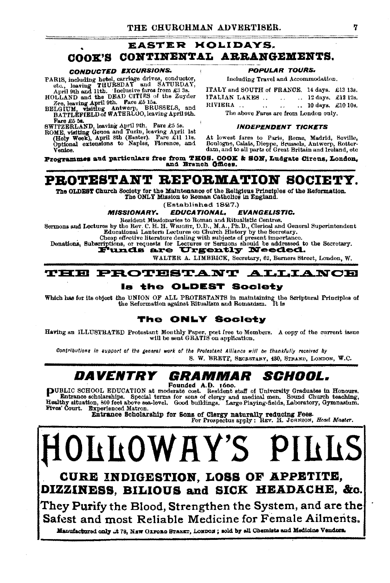### **EASTER HOLIDAYS.** COOK'S CONTINENTAL ARRANGEMENTS.

#### CONDUCTED EXCURSIONS.

- 
- CONDUCTED EXPRESSIONS.<br>
PARIS, including hotel, carriage drives, conductor,<br>
etc., leaving THURBDAY and SATURDAY,<br>
April 9th and 11th. Inclusive fares from £3 3s.<br>
HOLLAND and the DEAD CITIES of the Zuyder<br>
BELGUIM, visiti Fare £5 5s.

rare so on. ND, leaving April 9th. Fare £5 5s.<br>ROME, visiting Genoa and Turin, leaving April 1st (Holy Week), April 3th (Easter). Fare £11 1st<br>(Holy Week), April 3th (Easter). Fare £11 1st<br>Optional extensions to Naples, Fl Venice.

**POPULAR TOURS.** 

Including Travel and Accommodation.

| ITALY and SOUTH of FRANCE, 14 days. £13 13s. |  |        |                   |  |                                |  |
|----------------------------------------------|--|--------|-------------------|--|--------------------------------|--|
| ITALIAN LAKES                                |  |        | $\sim$ 100 $\sim$ |  | $\therefore$ 12 days, £12 12s. |  |
| RIVIERA                                      |  | $\sim$ | $\mathbf{r}$      |  | 10 days. £10 10s.              |  |
| The shove Fares are from London only         |  |        |                   |  |                                |  |

#### **INDEPENDENT TICKETS**

At lowest fares to Paris, Rome, Madrid, Seville, Boulogne, Calais, Dieppe, Brussels, Antwerp, Rotter-<br>dam, and to all parts of Great Britain and Ireland, etc.

Programmes and particulars free from THOS. COOK & SON, Ludgate Circus, London, and Branch Offices.

### PROTESTANT REFORMATION SOCIET

The OLDEST Church Society for the Maintenance of the Religious Principles of the Reformation. The ONLY Mission to Roman Catholics in England.

(Established 1827.)

#### **MISSIONARY. EDUCATIONAL. EVANGELISTIC.**

Resident Missionaries to Roman and Ritualistic Centres,

Sermons and Lectures by the Rev. C. H. H. WRIGHT, D. D., M.A., Ph. D., Clerical and General Superintendent<br>Educational Lantern Lectures on Church History by the Secretary.

Cheap effective literature dealing with subjects of present importance.

Donations, Subscriptions, or requests for Lectures or Sermons should be addressed to the Secretary.

WALTER A. LIMBRICK, Secretary, 62, Berners Street, London, W.

#### **PROTESTANT** TEE **ALLIANCE**

### Is the OLDEST Society

Which has for its object the UNION OF ALL PROTESTANTS in maintaining the Scriptural Principles of the Reformation acainst Ritualism and Romanism. It is the Reformation against Ritualism and Romanism.

### The ONLY Society

Having an ILLUSTRATED Protestant Monthly Paper, post free to Members. A copy of the current issue will be sent GRATIS on application.

Contributions in support of the general work of the Protestant Alliance will be thankfully received by S. W. BRETT, SECRETARY, 430, STRAND, LONDON, W.C.

#### DAVENTRY SCHOOL. GRAMMAR

PUBLIC SCHOOL EDUCATION at moderate cost. Resident staff of University Graduates in Honours.<br>
Entrance scholarships. Special terms for sons of clergy and medical men. Sound Church teaching,<br>
Healthy situation, 800 feet abo

Entrance Scholarship for Sons of Clergy naturally reducing Fees.<br>For Prospectus apply: REV. H. JORNSON, Head Master.

**LLOWAY'S** CURE INDIGESTION, LOSS OF APPETITE, DIZZINESS, BILIOUS and SICK HEADACHE, &c. They Purify the Blood, Strengthen the System, and are the

Safest and most Reliable Medicine for Female Ailments. Manufactured only .: t 78. NEW OLFORD STREET, LONDON; sold by all Obernists and Medicine Vendors.